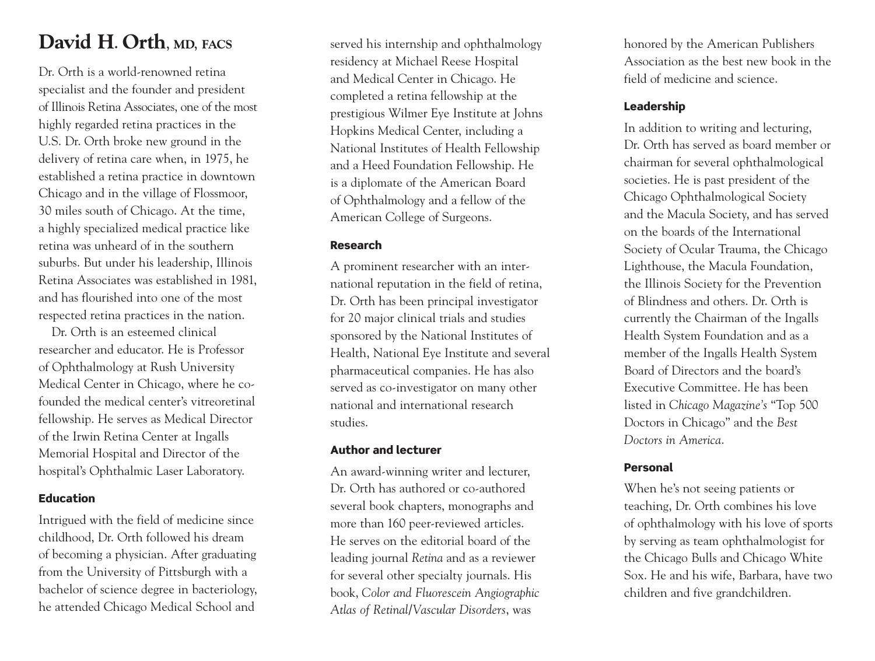## **David H**. **Orth**, **MD**, **FACS**

Dr. Orth is a world-renowned retina specialist and the founder and president of Illinois Retina Associates, one of the most highly regarded retina practices in the U.S. Dr. Orth broke new ground in the delivery of retina care when, in 1975, he established a retina practice in downtown Chicago and in the village of Flossmoor, 30 miles south of Chicago. At the time, a highly specialized medical practice like retina was unheard of in the southern suburbs. But under his leadership, Illinois Retina Associates was established in 1981, and has flourished into one of the most respected retina practices in the nation.

Dr. Orth is an esteemed clinical researcher and educator. He is Professor of Ophthalmology at Rush University Medical Center in Chicago, where he cofounded the medical center's vitreoretinal fellowship. He serves as Medical Director of the Irwin Retina Center at Ingalls Memorial Hospital and Director of the hospital's Ophthalmic Laser Laboratory.

### **Education**

Intrigued with the field of medicine since childhood, Dr. Orth followed his dream of becoming a physician. After graduating from the University of Pittsburgh with a bachelor of science degree in bacteriology, he attended Chicago Medical School and

served his internship and ophthalmology residency at Michael Reese Hospital and Medical Center in Chicago. He completed a retina fellowship at the prestigious Wilmer Eye Institute at Johns Hopkins Medical Center, including a National Institutes of Health Fellowship and a Heed Foundation Fellowship. He is a diplomate of the American Board of Ophthalmology and a fellow of the American College of Surgeons.

### **Research**

A prominent researcher with an international reputation in the field of retina, Dr. Orth has been principal investigator for 20 major clinical trials and studies sponsored by the National Institutes of Health, National Eye Institute and several pharmaceutical companies. He has also served as co-investigator on many other national and international research studies.

### **Author and lecturer**

An award-winning writer and lecturer, Dr. Orth has authored or co-authored several book chapters, monographs and more than 160 peer-reviewed articles. He serves on the editorial board of the leading journal *Retina* and as a reviewer for several other specialty journals. His book, *Color and Fluorescein Angiographic Atlas of Retinal/Vascular Disorders*, was

honored by the American Publishers Association as the best new book in the field of medicine and science.

### **Leadership**

In addition to writing and lecturing, Dr. Orth has served as board member or chairman for several ophthalmological societies. He is past president of the Chicago Ophthalmological Society and the Macula Society, and has served on the boards of the International Society of Ocular Trauma, the Chicago Lighthouse, the Macula Foundation, the Illinois Society for the Prevention of Blindness and others. Dr. Orth is currently the Chairman of the Ingalls Health System Foundation and as a member of the Ingalls Health System Board of Directors and the board's Executive Committee. He has been listed in *Chicago Magazine's* "Top 500 Doctors in Chicago" and the *Best Doctors in America*.

## **Personal**

When he's not seeing patients or teaching, Dr. Orth combines his love of ophthalmology with his love of sports by serving as team ophthalmologist for the Chicago Bulls and Chicago White Sox. He and his wife, Barbara, have two children and five grandchildren.